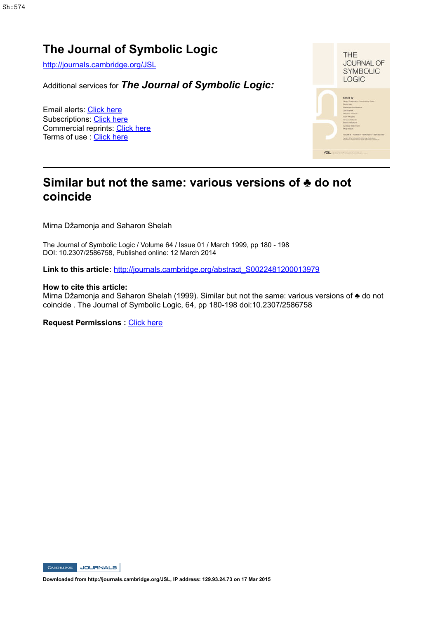# **The Journal of Symbolic Logic**

http://journals.cambridge.org/JSL

Additional services for *The Journal of Symbolic Logic:*

Email alerts: Click here Subscriptions: Click here Commercial reprints: Click here Terms of use : Click here



# **Similar but not the same: various versions of ♣ do not coincide**

Mirna Džamonja and Saharon Shelah

The Journal of Symbolic Logic / Volume 64 / Issue 01 / March 1999, pp 180 - 198 DOI: 10.2307/2586758, Published online: 12 March 2014

**Link to this article:** http://journals.cambridge.org/abstract\_S0022481200013979

#### **How to cite this article:**

Mirna Džamonja and Saharon Shelah (1999). Similar but not the same: various versions of ♣ do not coincide . The Journal of Symbolic Logic, 64, pp 180-198 doi:10.2307/2586758

**Request Permissions :** Click here



**Downloaded from http://journals.cambridge.org/JSL, IP address: 129.93.24.73 on 17 Mar 2015**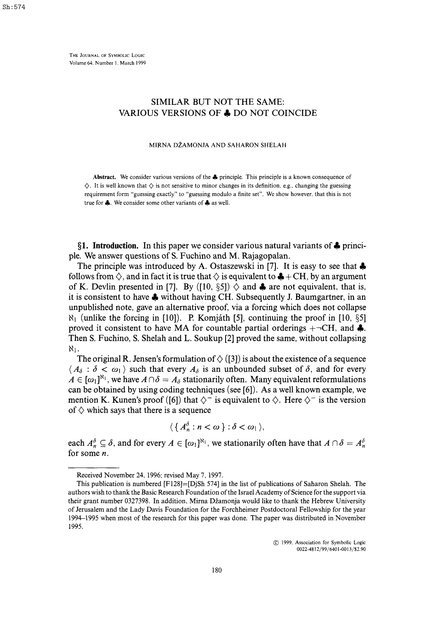THE JOURNAL OF SYMBOLIC LOGIC Volume 64. Number 1. March 1999

# SIMILAR BUT NOT THE SAME: VARIOUS VERSIONS OF  $\clubsuit$  DO NOT COINCIDE

#### MIRNA DŽAMONJA AND SAHARON SHELAH

Abstract. We consider various versions of the £ principle. This principle is a known consequence of  $\diamondsuit$ . It is well known that  $\diamondsuit$  is not sensitive to minor changes in its definition, e.g., changing the guessing requirement form "guessing exactly" to "guessing modulo a finite set". We show however, that this is not true for A. We consider some other variants of *A* as well.

**§1. Introduction.** In this paper we consider various natural variants of *X* principle. We answer questions of S. Fuchino and M. Rajagopalan.

The principle was introduced by A. Ostaszewski in [7]. It is easy to see that  $\clubsuit$ follows from  $\Diamond$ , and in fact it is true that  $\Diamond$  is equivalent to  $\clubsuit$  + CH, by an argument of K. Devlin presented in [7]. By ([10, §5])  $\diamond$  and  $\clubsuit$  are not equivalent, that is, it is consistent to have  $\clubsuit$  without having CH. Subsequently J. Baumgartner, in an unpublished note, gave an alternative proof, via a forcing which does not collapse  $\aleph_1$  (unlike the forcing in [10]). P. Komjáth [5], continuing the proof in [10, §5] proved it consistent to have MA for countable partial orderings  $+\neg CH$ , and  $\clubsuit$ . Then S. Fuchino, S. Shelah and L. Soukup [2] proved the same, without collapsing Ni.

The original R. Jensen's formulation of  $\Diamond$  ([3]) is about the existence of a sequence  $\langle A_{\delta} : \delta < \omega_1 \rangle$  such that every  $A_{\delta}$  is an unbounded subset of  $\delta$ , and for every  $A \in [\omega_1]^{N_1}$ , we have  $A \cap \delta = A_\delta$  stationarily often. Many equivalent reformulations can be obtained by using coding techniques (see [6]). As a well known example, we mention K. Kunen's proof ([6]) that  $\diamondsuit^-$  is equivalent to  $\diamondsuit$ . Here  $\diamondsuit^-$  is the version of  $\diamond$  which says that there is a sequence

$$
\langle \{A_n^{\delta} : n < \omega \} : \delta < \omega_1 \rangle,
$$

each  $A_n^{\delta} \subseteq \delta$ , and for every  $A \in [\omega_1]^{\aleph_1}$ , we stationarily often have that  $A \cap \delta = A_n^{\delta}$ for some *n.* 

© 1999. Association for Symbolic Logic 0022-4812/99/6401 -0013/S2.90

Received November 24, 1996; revised May 7, 1997.

This publication is numbered [F128]=[DjSh 574] in the list of publications of Saharon Shelah. The authors wish to thank the Basic Research Foundation of the Israel Academy of Science for the support via their grant number 0327398. In addition, Mirna Džamonja would like to thank the Hebrew University of Jerusalem and the Lady Davis Foundation for the Forchheimer Postdoctoral Fellowship for the year 1994-1995 when most of the research for this paper was done. The paper was distributed in November 1995.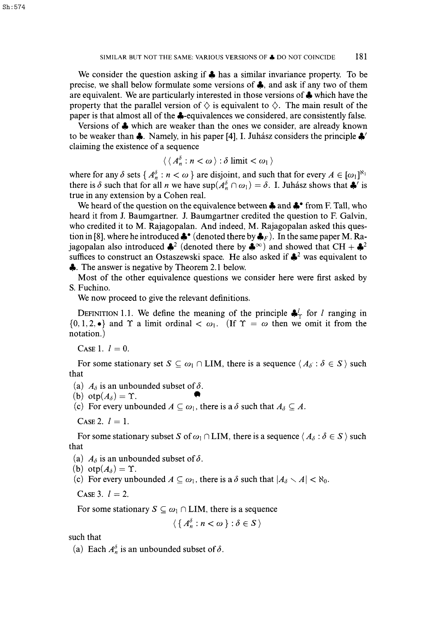We consider the question asking if  $\clubsuit$  has a similar invariance property. To be precise, we shall below formulate some versions of *Jft,* and ask if any two of them are equivalent. We are particularly interested in those versions of *Jk* which have the property that the parallel version of  $\diamondsuit$  is equivalent to  $\diamondsuit$ . The main result of the paper is that almost all of the  $\clubsuit$ -equivalences we considered, are consistently false.

Versions of  $\clubsuit$  which are weaker than the ones we consider, are already known to be weaker than  $\clubsuit$ . Namely, in his paper [4], I. Juhasz considers the principle  $\clubsuit'$ claiming the existence of a sequence

$$
\langle \langle A_n^{\delta} : n < \omega \rangle : \delta \text{ limit} < \omega_1 \rangle
$$

where for any  $\delta$  sets { $A_n^{\delta} : n < \omega$ } are disjoint, and such that for every  $A \in [\omega_1]^{N_1}$ there is  $\delta$  such that for all *n* we have  $\sup(A_n^{\delta} \cap \omega_1) = \delta$ . I. Juhasz shows that  $\clubsuit'$  is true in any extension by a Cohen real.

We heard of the question on the equivalence between  $\clubsuit$  and  $\clubsuit^{\bullet}$  from F. Tall, who heard it from J. Baumgartner. J. Baumgartner credited the question to F. Galvin, who credited it to M. Rajagopalan. And indeed, M. Rajagopalan asked this question in [8], where he introduced  $\clubsuit^{\bullet}$  (denoted there by  $\clubsuit_F$ ). In the same paper M. Rajagopalan also introduced  $\clubsuit^2$  (denoted there by  $\clubsuit^{\infty}$ ) and showed that CH +  $\clubsuit^2$ suffices to construct an Ostaszewski space. He also asked if  $\clubsuit^2$  was equivalent to  $\bullet$ . The answer is negative by Theorem 2.1 below.

Most of the other equivalence questions we consider here were first asked by S. Fuchino.

We now proceed to give the relevant definitions.

DEFINITION 1.1. We define the meaning of the principle  $\clubsuit_T^l$  for *l* ranging in  $\{0,1,2,\bullet\}$  and  $\Upsilon$  a limit ordinal  $\langle \omega_1, \dots, \omega_n \rangle$ . (If  $\Upsilon = \omega$  then we omit it from the notation.)

CASE 1.  $l=0$ .

For some stationary set  $S \subseteq \omega_1 \cap \text{LIM}$ , there is a sequence  $\langle A_\delta : \delta \in S \rangle$  such that

(a)  $A_{\delta}$  is an unbounded subset of  $\delta$ .

(b) otp $(A_\delta) = \Upsilon$ .

(c) For every unbounded  $A \subseteq \omega_1$ , there is a  $\delta$  such that  $A_{\delta} \subseteq A$ .

CASE 2.  $l = 1$ .

For some stationary subset *S* of  $\omega_1 \cap LIM$ , there is a sequence  $\langle A_\delta : \delta \in S \rangle$  such that

(a)  $A_{\delta}$  is an unbounded subset of  $\delta$ .

- (b) otp $(A_{\delta}) = \Upsilon$ .
- (c) For every unbounded  $A \subseteq \omega_1$ , there is a  $\delta$  such that  $|A_{\delta} \setminus A| < \aleph_0$ .

CASE 3.  $l = 2$ .

For some stationary  $S \subseteq \omega_1 \cap \text{LIM}$ , there is a sequence

$$
\langle \{A_n^{\delta} : n < \omega \} : \delta \in S \rangle
$$

such that

(a) Each  $A_n^o$  is an unbounded subset of  $\delta$ .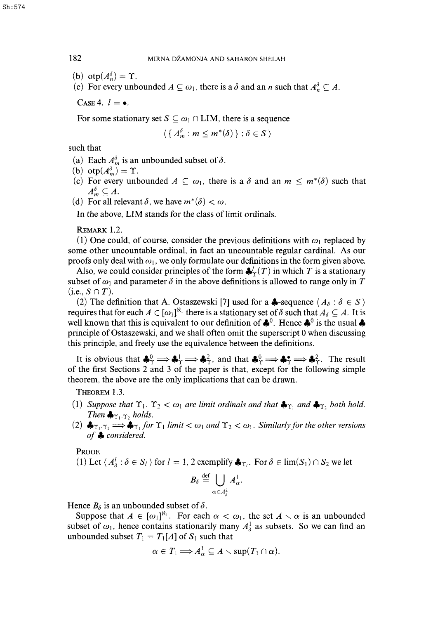(b) otp $(A_n^{\delta}) = \Upsilon$ .

(c) For every unbounded  $A \subseteq \omega_1$ , there is a *o* and an *n* such that  $A_n^{\omega} \subseteq A$ .

CASE 4.  $l = \bullet$ .

For some stationary set  $S \subseteq \omega_1 \cap \text{LIM}$ , there is a sequence

$$
\langle \{A_m^{\delta} : m \leq m^*(\delta) \} : \delta \in S \rangle
$$

such that

- (a) Each  $A_m^{\delta}$  is an unbounded subset of  $\delta$ .
- (b) otp $(A_m^{\delta}) = \Upsilon$ .
- (c) For every unbounded  $A \subseteq \omega_1$ , there is a  $\delta$  and an  $m \leq m^*(\delta)$  such that  $A_m^{\delta} \subseteq A$ .
- (d) For all relevant  $\delta$ , we have  $m^*(\delta) < \omega$ .

In the above, LIM stands for the class of limit ordinals.

REMARK 1.2.

(1) One could, of course, consider the previous definitions with  $\omega_1$  replaced by some other uncountable ordinal, in fact an uncountable regular cardinal. As our proofs only deal with  $\omega_1$ , we only formulate our definitions in the form given above.

Also, we could consider principles of the form  $\frac{d}{dx}(T)$  in which T is a stationary subset of  $\omega_1$  and parameter  $\delta$  in the above definitions is allowed to range only in T  $(i.e., S \cap T).$ 

(2) The definition that A. Ostaszewski [7] used for a  $\clubsuit$ -sequence  $\langle A_{\delta} : \delta \in S \rangle$ requires that for each  $A \in [\omega_1]^{\aleph_1}$  there is a stationary set of  $\delta$  such that  $A_\delta \subseteq A$ . It is well known that this is equivalent to our definition of  $\clubsuit^0$ . Hence  $\clubsuit^0$  is the usual  $\clubsuit$ principle of Ostaszewski, and we shall often omit the superscript 0 when discussing this principle, and freely use the equivalence between the definitions.

It is obvious that  $\clubsuit^0_\Upsilon \Longrightarrow \clubsuit^1_\Upsilon \Longrightarrow \clubsuit^2_\Upsilon$ , and that  $\clubsuit^0_\Upsilon \Longrightarrow \clubsuit^*_{\Upsilon} \Longrightarrow \clubsuit^2_\Upsilon$ . The result of the first Sections 2 and 3 of the paper is that, except for the following simple theorem, the above are the only implications that can be drawn.

THEOREM 1.3.

- (1) Suppose that  $\Upsilon_1$ ,  $\Upsilon_2 < \omega_1$  are limit ordinals and that  $\clubsuit_{\Upsilon_1}$  and  $\clubsuit_{\Upsilon_2}$  both hold. *Then*  $\clubsuit_{\Upsilon_1 \cdot \Upsilon_2}$  holds.
- (2)  $\clubsuit_{T_1 \cdot T_2} \Longrightarrow \clubsuit_{T_1}$  for  $\Upsilon_1$  limit  $<\omega_1$  and  $\Upsilon_2 < \omega_1$ . Similarly for the other versions *of* ^ *considered.*

PROOF.

(1) Let  $\langle A^l_\delta : \delta \in S_l \rangle$  for  $l = 1, 2$  exemplify  $\clubsuit_{\Upsilon_l}$ . For  $\delta \in \lim(S_1) \cap S_2$  we let

$$
\mathbf{B}_{\delta} \stackrel{\text{def}}{=} \bigcup_{\alpha \in A_{\delta}^2} A_{\alpha}^1.
$$

Hence  $B_{\delta}$  is an unbounded subset of  $\delta$ .

Suppose that  $A \in [\omega_1]^{\aleph_1}$ . For each  $\alpha < \omega_1$ , the set  $A \setminus \alpha$  is an unbounded subset of  $\omega_1$ , hence contains stationarily many  $A_\delta^1$  as subsets. So we can find an unbounded subset  $T_1 = T_1[A]$  of  $S_1$  such that

$$
\alpha\in T_1\Longrightarrow A_\alpha^1\subseteq A\smallsetminus\sup(T_1\cap\alpha).
$$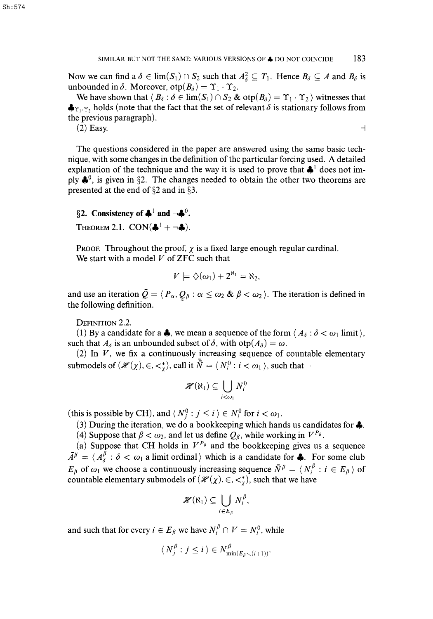Now we can find a  $\delta \in \lim(S_1) \cap S_2$  such that  $A_{\delta}^2 \subseteq T_1$ . Hence  $B_{\delta} \subseteq A$  and  $B_{\delta}$  is unbounded in  $\delta$ . Moreover,  $otp(B_{\delta}) = \Upsilon_1 \cdot \Upsilon_2$ .

We have shown that  $\langle B_\delta : \delta \in \lim(S_1) \cap S_2 \& \text{otp}(B_\delta) = \Upsilon_1 \cdot \Upsilon_2$  ) witnesses that  $\clubsuit_{\Upsilon_1,\Upsilon_2}$  holds (note that the fact that the set of relevant  $\delta$  is stationary follows from the previous paragraph).

(2) Easy.  $\Box$ 

The questions considered in the paper are answered using the same basic technique, with some changes in the definition of the particular forcing used. A detailed explanation of the technique and the way it is used to prove that  $\clubsuit^1$  does not imply  $\clubsuit^0$ , is given in §2. The changes needed to obtain the other two theorems are presented at the end of §2 and in §3.

# §2. Consistency of  $\clubsuit^1$  and  $\neg \clubsuit^0$ .

THEOREM 2.1.  $CON(*^1 + \neg *).$ 

PROOF. Throughout the proof,  $\chi$  is a fixed large enough regular cardinal. We start with a model *V* of ZFC such that

$$
V \models \diamondsuit(\omega_1) + 2^{\aleph_1} = \aleph_2,
$$

and use an iteration  $\bar{Q} = \langle P_{\alpha}, Q_{\beta} : \alpha \leq \omega_2 \otimes \beta < \omega_2 \rangle$ . The iteration is defined in the following definition.

DEFINITION 2.2.

(1) By a candidate for a  $\clubsuit$ , we mean a sequence of the form  $\langle A_\delta : \delta < \omega_1 \text{ limit} \rangle$ , such that  $A_{\delta}$  is an unbounded subset of  $\delta$ , with  $otp(A_{\delta}) = \omega$ .

(2) In  $V$ , we fix a continuously increasing sequence of countable elementary submodels of  $(\mathcal{H}(\chi), \in, \lt^*_{\gamma})$ , call it  $\bar{\bar{N}} = \langle N_i^0 : i \lt \omega_1 \rangle$ , such that

$$
\mathscr{H}(\aleph_1) \subseteq \bigcup_{i < \omega_1} N_i^0
$$

(this is possible by CH), and  $\langle N_j^0 : j \le i \rangle \in N_i^0$  for  $i < \omega_1$ .

(3) During the iteration, we do a bookkeeping which hands us candidates for  $\clubsuit$ .

(4) Suppose that  $\beta < \omega_2$ , and let us define  $Q_\beta$ , while working in  $V^{P_\beta}$ .

(a) Suppose that CH holds in  $V^{P_\beta}$  and the bookkeeping gives us a sequence  $\overline{A}^{\beta} = \langle A_{\delta}^{\beta} : \delta < \omega_1 \text{ a limit ordinal } \rangle$  which is a candidate for **4**. For some club  $E_\beta$  of  $\omega_1$  we choose a continuously increasing sequence  $\bar{N}^\beta = \langle N_i^\beta : i \in E_\beta \rangle$  of countable elementary submodels of  $(\mathcal{H}(\chi), \in, \lt^*_{\gamma})$ , such that we have

$$
\mathscr{H}(\aleph_1)\subseteq\bigcup_{i\in E_\beta}N_i^\beta,
$$

and such that for every  $i \in E_\beta$  we have  $N_i^\beta \cap V = N_i^0$ , while

$$
\langle N_j^{\beta} : j \leq i \rangle \in N_{\min(E_{\beta} \setminus (i+1))}^{\beta}.
$$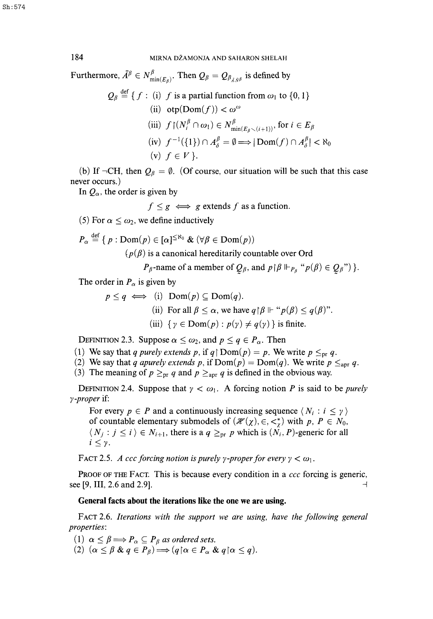Furthermore,  $\bar{A}^{\beta} \in N^{\beta}_{\min(E_{\alpha})}$ . Then  $Q_{\beta} = Q_{\beta_{\bar{A}S^{\beta}}}$  is defined by

$$
Q_{\beta} \stackrel{\text{def}}{=} \{ f : (i) \ f \text{ is a partial function from } \omega_1 \text{ to } \{0, 1\}
$$
  
\n(ii)  $\text{otp}(\text{Dom}(f)) < \omega^{\omega}$   
\n(iii)  $f \mid (N_i^{\beta} \cap \omega_1) \in N_{\min(E_{\beta} \setminus (i+1))}^{\beta}, \text{ for } i \in E_{\beta}$   
\n(iv)  $f^{-1}(\{1\}) \cap A_{\delta}^{\beta} = \emptyset \Longrightarrow |\text{Dom}(f) \cap A_{\delta}^{\beta}| < \aleph_0$   
\n(v)  $f \in V \}.$ 

(b) If  $\neg$ CH, then  $Q_\beta = \emptyset$ . (Of course, our situation will be such that this case never occurs.)

In  $Q_{\alpha}$ , the order is given by

 $\mathbf{a}$ 

$$
f \leq g \iff g
$$
 extends f as a function.

(5) For  $\alpha \leq \omega_2$ , we define inductively

$$
P_{\alpha} \stackrel{\text{det}}{=} \{ p : \text{Dom}(p) \in [\alpha]^{\leq \aleph_0} \& (\forall \beta \in \text{Dom}(p))
$$

 $(p(\beta))$  is a canonical hereditarily countable over Ord

*P<sub>β</sub>*-name of a member of  $Q_\beta$ , and  $p \upharpoonright \beta \Vdash_{P_\beta} {^\alpha p(\beta) \in Q_\beta" }$ .

The order in  $P_{\alpha}$  is given by

$$
p \le q \iff (i) \text{ Dom}(p) \subseteq \text{Dom}(q).
$$
  
(ii) For all  $\beta \le \alpha$ , we have  $q \upharpoonright \beta \Vdash "p(\beta) \le q(\beta)$ ".  
(iii)  $\{ \gamma \in \text{Dom}(p) : p(\gamma) \ne q(\gamma) \}$  is finite.

DEFINITION 2.3. Suppose  $\alpha \leq \omega_2$ , and  $p \leq q \in P_\alpha$ . Then

- (1) We say that *q purely extends p*, if  $q \upharpoonright Dom(p) = p$ . We write  $p \leq_{pr} q$ .
- (2) We say that *q apurely extends p*, if  $Dom(p) = Dom(q)$ . We write  $p \leq_{apr} q$ .
- (3) The meaning of  $p \geq_{pr} q$  and  $p \geq_{apr} q$  is defined in the obvious way.

DEFINITION 2.4. Suppose that  $\gamma < \omega_1$ . A forcing notion *P* is said to be *purely y -proper* if:

For every  $p \in P$  and a continuously increasing sequence  $\langle N_i : i \leq \gamma \rangle$ of countable elementary submodels of  $(\mathcal{H}(\chi), \in, \lt^*_\chi)$  with  $p, P \in N_0$ ,  $\langle N_j : j \le i \rangle \in N_{i+1}$ , there is a  $q \ge_{pr} p$  which is  $(N_i, P)$ -generic for all  $i \leq \gamma$ .

FACT 2.5. *A ccc forcing notion is purely y-proper for every*  $\gamma < \omega_1$ *.* 

PROOF OF THE FACT. This is because every condition in a *ccc* forcing is generic, see [9, III, 2.6 and 2.9].

### **General facts about the iterations like the one we are using.**

FACT 2.6. *Iterations with the support we are using, have the following general properties:* 

(1)  $\alpha \leq \beta \Longrightarrow P_{\alpha} \subseteq P_{\beta}$  as ordered sets.

(2)  $(\alpha \leq \beta \& q \in P_\beta) \Longrightarrow (q \alpha \in P_\alpha \& q \alpha \leq q).$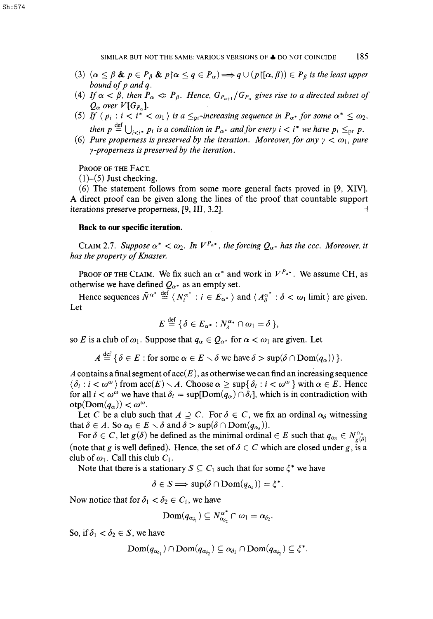Sh:574

- (3)  $(\alpha \leq \beta \& p \in P_{\beta} \& p \land \alpha \leq q \in P_{\alpha}) \Longrightarrow q \cup (p \land (\alpha, \beta)) \in P_{\beta}$  is the least upper *bound of p andq.*
- (4) If  $\alpha < \beta$ , then  $P_{\alpha} \ll P_{\beta}$ . Hence,  $G_{P_{\alpha+1}}/G_{P_{\alpha}}$  gives rise to a directed subset of  $Q_{\alpha}$  over  $V[G_{P_{\alpha}}].$
- (5) If  $\langle p_i : i < i^* < \omega_1 \rangle$  is a  $\leq_{pr}$ -increasing sequence in  $P_{\alpha^*}$  for some  $\alpha^* \leq \omega_2$ , then  $p \stackrel{\text{def}}{=} \bigcup_{i < i^*} p_i$  is a condition in  $P_{\alpha^*}$  and for every  $i < i^*$  we have  $p_i \leq_{pr} p$ .<br>*Properties as a property of the interpretient* Mercenary for any  $y_i \leq q$ , many
- (6) Pure properness is preserved by the iteration. Moreover, for any  $\gamma < \omega_1$ , pure *y-properness is preserved by the iteration.*

PROOF OF THE FACT.

 $(1)$ – $(5)$  Just checking.

(6) The statement follows from some more general facts proved in [9, XIV]. A direct proof can be given along the lines of the proof that countable support iterations preserve properness,  $[9, III, 3.2]$ .

#### **Back to our specific iteration.**

CLAIM 2.7. Suppose  $\alpha^* < \omega_2$ . In  $V^{P_{\alpha^*}}$ , the forcing  $Q_{\alpha^*}$  has the ccc. Moreover, it *has the property of Knaster.* 

PROOF OF THE CLAIM. We fix such an  $\alpha^*$  and work in  $V^{P_{\alpha^*}}$ . We assume CH, as otherwise we have defined  $Q_{\alpha^*}$  as an empty set.

Hence sequences  $\bar{N}^{\alpha^*} \stackrel{\text{def}}{=} \langle N_i^{\alpha^*} : i \in E_{\alpha^*} \rangle$  and  $\langle A_{\delta}^{\alpha^*} : \delta < \omega_1 \text{ limit} \rangle$  are given. Let

$$
E \stackrel{\text{def}}{=} \{ \delta \in E_{\alpha^*} : N_{\delta}^{\alpha_*} \cap \omega_1 = \delta \},
$$

so *E* is a club of  $\omega_1$ . Suppose that  $q_\alpha \in Q_{\alpha^*}$  for  $\alpha < \omega_1$  are given. Let

 $A \stackrel{\text{def}}{=} \{ \delta \in E : \text{for some } \alpha \in E \setminus \delta \text{ we have } \delta > \sup(\delta \cap \text{Dom}(q_{\alpha})) \}.$ 

*A* contains a final segment of  $\operatorname{acc}(E)$ , as otherwise we can find an increasing sequence  $\langle \delta_i : i < \omega^{\omega} \rangle$  from  $\mathrm{acc}(E) \setminus A$ . Choose  $\alpha \geq \sup\{\delta_i : i < \omega^{\omega}\}\$  with  $\alpha \in E$ . Hence for all  $i < \omega^{\omega}$  we have that  $\delta_i = \sup[Dom(q_{\alpha}) \cap \delta_i]$ , which is in contradiction with  $otp(Dom(q<sub>\alpha</sub>)) < \omega^{\omega}$ .

Let *C* be a club such that  $A \supseteq C$ . For  $\delta \in C$ , we fix an ordinal  $\alpha_{\delta}$  witnessing that  $\delta \in A$ . So  $\alpha_{\delta} \in E \setminus \delta$  and  $\delta > \sup(\delta \cap \text{Dom}(q_{\alpha_{\delta}})).$ 

For  $\delta \in C$ , let  $g(\delta)$  be defined as the minimal ordinal  $\in E$  such that  $q_{\alpha_{\delta}} \in N^{\alpha_{*}}_{\sigma(\delta)}$ (note that g is well defined). Hence, the set of  $\delta \in C$  which are closed under g, is a club of  $\omega_1$ . Call this club  $C_1$ .

Note that there is a stationary  $S \subseteq C_1$  such that for some  $\xi^*$  we have

 $\delta \in S \Longrightarrow \sup(\delta \cap \text{Dom}(q_{\alpha_{\delta}})) = \xi^*.$ 

Now notice that for  $\delta_1 < \delta_2 \in C_1$ , we have

$$
\mathrm{Dom}(q_{\alpha_{\delta_1}}) \subseteq N_{\alpha_{\delta_2}}^{\alpha^*} \cap \omega_1 = \alpha_{\delta_2}.
$$

So, if  $\delta_1 < \delta_2 \in S$ , we have

$$
\text{Dom}(q_{\alpha_{\delta_1}}) \cap \text{Dom}(q_{\alpha_{\delta_2}}) \subseteq \alpha_{\delta_2} \cap \text{Dom}(q_{\alpha_{\delta_2}}) \subseteq \xi^*.
$$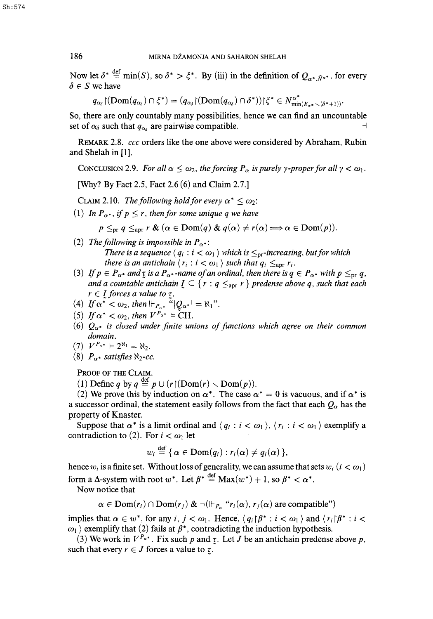Now let  $\delta^* \stackrel{\text{def}}{=} \min(S)$ , so  $\delta^* > \xi^*$ . By (iii) in the definition of  $Q_{\alpha^*, \bar{N}^{\alpha^*}}$ , for every  $\delta \in S$  we have

$$
q_{\alpha_{\delta}}(\text{Dom}(q_{\alpha_{\delta}}) \cap \xi^*) = (q_{\alpha_{\delta}}(\text{Dom}(q_{\alpha_{\delta}}) \cap \delta^*))\xi^* \in N_{\min(E_{\alpha^*} \setminus (\delta^* + 1))}^{\alpha^*}.
$$

So, there are only countably many possibilities, hence we can find an uncountable set of  $\alpha_{\delta}$  such that  $q_{\alpha_{\delta}}$  are pairwise compatible.

REMARK 2.8. *ccc* orders like the one above were considered by Abraham, Rubin and Shelah in [1].

CONCLUSION 2.9. For all  $\alpha \leq \omega_2$ , the forcing  $P_\alpha$  is purely  $\gamma$ -proper for all  $\gamma < \omega_1$ .

[Why? By Fact 2.5, Fact 2.6 (6) and Claim 2.7.]

CLAIM 2.10. The following hold for every  $\alpha^* < \omega_2$ :

(1) In  $P_{\alpha^*}$ , if  $p \leq r$ , then for some unique q we have

 $p \leq_{\text{pr}} q \leq_{\text{apr}} r \& (\alpha \in \text{Dom}(q) \& q(\alpha) \neq r(\alpha) \Longrightarrow \alpha \in \text{Dom}(p)).$ 

- (2) The following is impossible in  $P_{\alpha^*}$ : *There is a sequence*  $\langle q_i : i < \omega_1 \rangle$  which is  $\leq_{\text{pr}}$ -increasing, but for which *there is an antichain*  $\langle r_i : i < \omega_1 \rangle$  *such that*  $q_i \leq_{\text{apr}} r_i$ *.*
- (3) If  $p \in P_{\alpha^*}$  and  $\tau$  is a  $P_{\alpha^*}$ -name of an ordinal, then there is  $q \in P_{\alpha^*}$  with  $p \leq_{\text{pr}} q$ , *and a countable antichain*  $I \subseteq \{r : q \leq_{\text{apr}} r\}$  predense above q, such that each  $\{r : q \leq_{\text{apr}} r\}$  predense above q, such that each  $r \in I$  *forces a value to*  $\tau$ *.*
- (4)  $\textit{If } \alpha^* < \omega_2 \textit{, then } \Vdash_{P_{\alpha^*}} \tilde{H} | Q_{\alpha^*} | = \aleph_1$ ".
- (5) If  $\alpha^* < \omega_2$ , then  $V^{P_{\alpha^*}} \models \text{CH}.$
- (6)  $Q_{\alpha^*}$  is closed under finite unions of functions which agree on their common *domain.*
- (7)  $V^{P_{\alpha^*}} \models 2^{\aleph_1} = \aleph_2.$
- (8)  $P_{\alpha^*}$  satisfies  $\aleph_2$ -cc.

PROOF OF THE CLAIM.

(1) Define *q* by  $q \stackrel{\text{def}}{=} p \cup (r \upharpoonright (\text{Dom}(r) \setminus \text{Dom}(p)).$ 

(2) We prove this by induction on  $\alpha^*$ . The case  $\alpha^* = 0$  is vacuous, and if  $\alpha^*$  is a successor ordinal, the statement easily follows from the fact that each  $Q_{\alpha}$  has the property of Knaster.

Suppose that  $\alpha^*$  is a limit ordinal and  $\langle q_i : i < \omega_1 \rangle$ ,  $\langle r_i : i < \omega_1 \rangle$  exemplify a contradiction to (2). For  $i < \omega_1$  let

$$
w_i \stackrel{\text{def}}{=} \{ \alpha \in \text{Dom}(q_i) : r_i(\alpha) \neq q_i(\alpha) \},
$$

hence  $w_i$  is a finite set. Without loss of generality, we can assume that sets  $w_i$  ( $i < \omega_1$ ) form a  $\Delta$ -system with root  $w^*$ . Let  $\beta^* \stackrel{\text{def}}{=} \text{Max}(w^*) + 1$ , so  $\beta^* < \alpha^*$ .

Now notice that

$$
\alpha \in \text{Dom}(r_i) \cap \text{Dom}(r_j) \& \neg(\Vdash_{P_\alpha} "r_i(\alpha), r_j(\alpha) \text{ are compatible")}
$$

implies that  $\alpha \in w^*$ , for any  $i, j < \omega_1$ . Hence,  $\langle q_i | \beta^* : i < \omega_1 \rangle$  and  $\langle r_i | \beta^* : i < \omega_1 \rangle$  $\langle \omega_1 \rangle$  exemplify that (2) fails at  $\beta^*$ , contradicting the induction hypothesis.

(3) We work in  $V^{P_{\alpha^*}}$ . Fix such p and  $\tau$ . Let J be an antichain predense above p, such that every  $r \in J$  forces a value to  $\tau$ .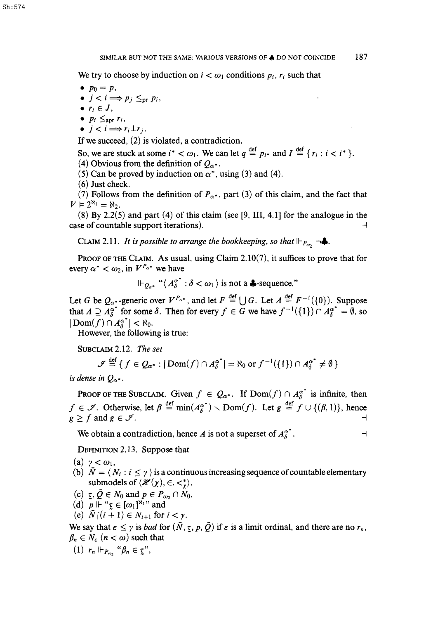We try to choose by induction on  $i < \omega_1$  conditions  $p_i, r_i$  such that

- $p_0 = p$ ,
- $j < i \Longrightarrow p_j \leq_{pr} p_i$ ,
- $\bullet$   $r_i \in J$ ,
- $p_i \leq_{\text{apr}} r_i$ ,
- $j < i \Longrightarrow r_i \perp r_j$ .

If we succeed, (2) is violated, a contradiction.

- So, we are stuck at some  $i^* < \omega_1$ . We can let  $q \stackrel{\text{def}}{=} p_{i^*}$  and  $I \stackrel{\text{def}}{=} \{r_i : i < i^* \}$ .
- (4) Obvious from the definition of  $Q_{\alpha^*}$ .
- (5) Can be proved by induction on  $\alpha^*$ , using (3) and (4).
- (6) Just check.

(7) Follows from the definition of  $P_{\alpha^*}$ , part (3) of this claim, and the fact that  $V \vDash 2^{\aleph_1} = \aleph_2$ .

(8) By 2.2(5) and part (4) of this claim (see [9, III, 4.1] for the analogue in the case of countable support iterations).

CLAIM 2.11. *It is possible to arrange the bookkeeping, so that*  $\Vdash_{P_{\omega_2}} \neg \clubsuit$ .

PROOF OF THE CLAIM. As usual, using Claim 2.10(7), it suffices to prove that for every  $\alpha^* < \omega_2$ , in  $V^{P_{\alpha^*}}$  we have

 $\mathbb{P}_{Q_{\alpha^*}}$  " $\langle A^{\alpha^*}_{\beta} : \delta < \omega_1 \rangle$  is not a **4**-sequence."

Let *G* be  $Q_{\alpha}$ -generic over  $V^{P_{\alpha^*}}$ , and let  $F \stackrel{\text{def}}{=} \bigcup G$ . Let  $A \stackrel{\text{def}}{=} F^{-1}(\{0\})$ . Suppose that  $A \supseteq A_8^{\alpha^*}$  for some  $\delta$ . Then for every  $f \in G$  we have  $f^{-1}(\{1\}) \cap A_8^{\alpha^*} = \emptyset$ , so  $|\text{Dom}(f) \cap A_{\delta}^{\alpha^*}| < \aleph_0$ .

However, the following is true:

SUBCLAIM 2.12. *The set* 

$$
\mathscr{I} \stackrel{\text{def}}{=} \{ f \in Q_{\alpha^*} : |\text{Dom}(f) \cap A_{\delta}^{\alpha^*}| = \aleph_0 \text{ or } f^{-1}(\{1\}) \cap A_{\delta}^{\alpha^*} \neq \emptyset \}
$$

is dense in  $Q_{\alpha^*}$ .

**PROOF OF THE SUBCLAIM.** Given  $f \in Q_{\alpha^*}$ . If  $Dom(f) \cap A_{\delta}^{\alpha^*}$  is infinite, then  $f \in \mathcal{F}$ . Otherwise, let  $\beta \stackrel{\text{def}}{=} \min(A_{\beta}^{\alpha^*}) \setminus \text{Dom}(f)$ . Let  $g \stackrel{\text{def}}{=} f \cup \{(\beta, 1)\}\text{, hence}$  $g \geq f$  and  $g \in \mathcal{I}$ .

We obtain a contradiction, hence *A* is not a superset of  $A_{\delta}^{\alpha^*}$ .

DEFINITION 2.13. Suppose that

(a)  $\gamma < \omega_1$ ,

- (b)  $\bar{N} = \langle N_i : i \leq \gamma \rangle$  is a continuous increasing sequence of countable elementary submodels of  $\langle \mathcal{H}(\chi), \in, \lt^*_{\gamma} \rangle$ ,
- (c)  $\bar{z}, \bar{Q} \in N_0$  and  $p \in P_{\omega_2} \cap N_0$ ,
- (d)  $p \Vdash " \underline{\tau} \in [\omega_1]^{\aleph_1}$ " and
- (e)  $\bar{N}((i + 1) \in N_{i+1}$  for  $i < \gamma$ .

We say that  $\epsilon \leq \gamma$  is *bad* for  $(\bar{N}, \tau, p, \bar{Q})$  if  $\epsilon$  is a limit ordinal, and there are no  $r_n$ ,  $\beta_n \in N_{\epsilon}$   $(n < \omega)$  such that

(1)  $r_n \Vdash_{P_{\omega_2}} \text{``}\beta_n \in \mathcal{I}$ {''},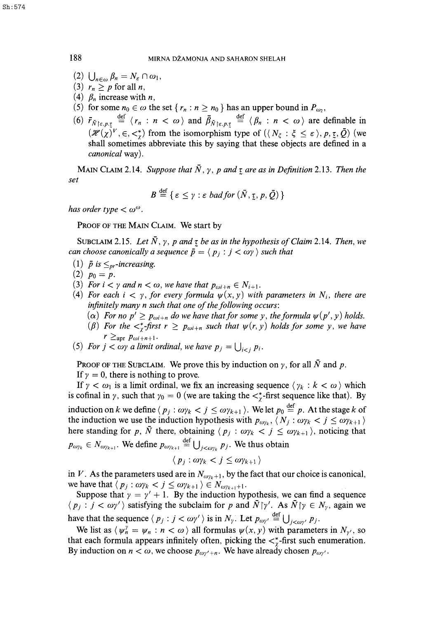- (2)  $\bigcup_{n\in\omega}\beta_n=N_{\varepsilon}\cap\omega_1,$ <br>(3)  $r_n\geq p$  for all *n*,
- 
- (4)  $\beta_n$  increase with *n*,
- (5) for some  $n_0 \in \omega$  the set  $\{r_n : n \geq n_0\}$  has an upper bound in  $P_{\omega_2}$ ,
- (6)  $\bar{r}_{\bar{N}\upharpoonright \varepsilon,p,\tau} \stackrel{\text{def}}{=} \langle r_n : n < \omega \rangle$  and  $\bar{\beta}_{\bar{N}\upharpoonright \varepsilon,p,\tau} \stackrel{\text{def}}{=} \langle \beta_n : n < \omega \rangle$  are definable in  $(\mathcal{H}(\chi)^V, \in, \lt^*)$  from the isomorphism type of  $(\langle N_{\xi} : \xi \leq \epsilon \rangle, p, \tau, \bar{Q})$  (we shall sometimes abbreviate this by saying that these objects are defined in a *canonical* way).

MAIN CLAIM 2.14. Suppose that  $\bar{N}$ ,  $\gamma$ ,  $p$  and  $\tau$  are as in Definition 2.13. Then the *set* 

$$
B \stackrel{\text{def}}{=} \{ \varepsilon \leq \gamma : \varepsilon \text{ bad for } (\bar{N}, \underline{\tau}, p, \bar{Q}) \}
$$

*has order type*  $< \omega^{\omega}$ *.* 

PROOF OF THE MAIN CLAIM. We start by

SUBCLAIM 2.15. Let  $\overline{N}$ ,  $\gamma$ ,  $p$  and  $\tau$  be as in the hypothesis of Claim 2.14. Then, we *can choose canonically a sequence*  $\bar{p} = \langle p_j : j < \omega \gamma \rangle$  *such that* 

- (1)  $\bar{p}$  is  $\leq_{pr}$ -increasing.
- $(2)$   $p_0 = p$ .
- (3) For  $i < \gamma$  and  $n < \omega$ , we have that  $p_{\omega i+n} \in N_{i+1}$ .
- (4) For each  $i < \gamma$ , for every formula  $\psi(x, y)$  with parameters in  $N_i$ , there are *infinitely many n such that one of the following occurs:* 
	- $\alpha$ ) *For no p'*  $\geq p_{\omega i+n}$  *do we have that for some y, the formula*  $\psi(p', y)$  *holds.*
	- ( $\beta$ ) For the  $\langle x \rangle$ -first  $r \geq p_{\omega i+n}$  such that  $\psi(r, y)$  holds for some y, we have  $r \geq_{\rm apr} p_{\omega i+n+1}$ .
- (5) For  $j < \omega \gamma$  a limit ordinal, we have  $p_j = \bigcup_{i < j} p_i$ .

PROOF OF THE SUBCLAIM. We prove this by induction on  $\gamma$ , for all  $\overline{N}$  and  $\overline{p}$ .

If  $\gamma = 0$ , there is nothing to prove.

If  $\gamma < \omega_1$  is a limit ordinal, we fix an increasing sequence  $\langle \gamma_k : k < \omega \rangle$  which is cofinal in  $\gamma$ , such that  $\gamma_0 = 0$  (we are taking the  $\langle \gamma^* \rangle$ -first sequence like that). By induction on k we define  $\langle p_j : \omega p_k < j \leq \omega p_{k+1} \rangle$ . We let  $p_0 \stackrel{\text{def}}{=} p$ . At the stage k of induction on *k* we define  $\langle p_j \rangle$  .  $\omega_{jk} \leq j \leq \omega_{jk+1}$  */*. We let  $p_0 = p$ . At the stage k of the induction we use the induction hypothesis with  $p_{\omega\gamma_k}, \langle N_j : \omega_{\gamma_k} \rangle \leq \omega_{\gamma_k+1}$  *i* expansion for  $r = \overline{N}$  there althorize  $\langle r, \ldots \rangle$  is  $\langle r, \ldots \rangle$  anticipal that here standing for p,  $\overline{N}$  there, obtaining  $\langle p_j : \omega p_k < j \leq \omega p_{k+1} \rangle$ , noticing that  $\equiv$  $P = \frac{P}{\sqrt{k+1}}$  **Po**  $\frac{P}{k+1}$  **p**  $\frac{P}{k+1}$  **p**  $\frac{P}{k+1}$  **p**  $\frac{P}{k+1}$  **p**  $\frac{P}{k+1}$  **p**  $\frac{P}{k+1}$  **p**  $\frac{P}{k+1}$  **p**  $\frac{P}{k+1}$  **p**  $\frac{P}{k+1}$  **p**  $\frac{P}{k+1}$  **p**  $\frac{P}{k+1}$  **p**  $\frac{P}{k+1}$  **p**  $\frac{P}{k+$ 

$$
\langle p_j : \omega \gamma_k < j \leq \omega \gamma_{k+1} \rangle
$$

in *V*. As the parameters used are in  $N_{\omega\gamma_k+1}$ , by the fact that our choice is canonical, we have that  $\langle p_j : \omega p_k < j \leq \omega p_{k+1} \rangle \in N_{\omega p_{k+1}+1}$ .

Suppose that  $y = y' + 1$ . By the induction hypothesis, we can find a sequence  $\langle p_j : j < \omega \gamma' \rangle$  satisfying the subclaim for p and  $\bar{N}[\gamma']$ . As  $\bar{N}[\gamma] \in N_{\gamma}$ , again we def have that the sequence  $\langle p_j \cdot j \rangle \langle \omega \gamma \rangle$  is in  $N_{\gamma}$ . Let  $p_{\omega \gamma'} = \bigcup_{j \leq \omega \gamma'} p_j$ .

We list as  $\langle \psi'_n = \psi_n : n < \omega \rangle$  all formulas  $\psi(x, y)$  with parameters in  $N_{\gamma'}$ , so that each formula appears infinitely often, picking the  $\lt^*$ -first such enumeration. By induction on  $n < \omega$ , we choose  $p_{\omega y' + n}$ . We have already chosen  $p_{\omega y'}$ .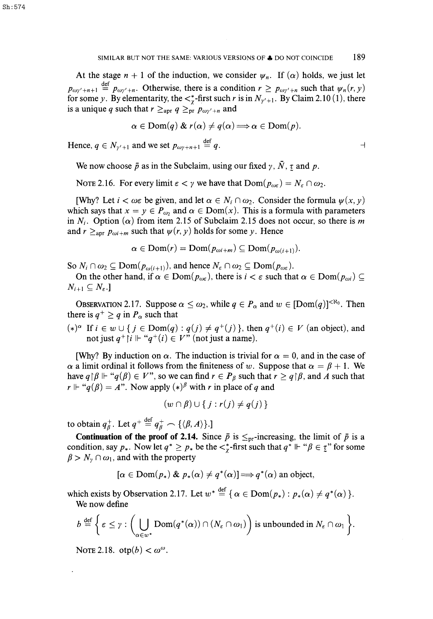At the stage  $n + 1$  of the induction, we consider  $\psi_n$ . If  $(\alpha)$  holds, we just let  $p_{\omega y'+n+1} \stackrel{\text{def}}{=} p_{\omega y'+n}$ . Otherwise, there is a condition  $r \ge p_{\omega y'+n}$  such that  $\psi_n(r, y)$ for some y. By elementarity, the  $\lt^*_r$ -first such r is in  $N_{\gamma'+1}$ . By Claim 2.10(1), there is a unique q such that  $r \geq_{\text{apr}} q \geq_{\text{pr}} p_{\omega \gamma' + n}$  and

$$
\alpha \in \text{Dom}(q) \& r(\alpha) \neq q(\alpha) \Longrightarrow \alpha \in \text{Dom}(p).
$$

def Hence,  $q \in N_{\gamma'+1}$  and we set  $p_{\omega\gamma+n+1} = q$ .

We now choose  $\bar{p}$  as in the Subclaim, using our fixed  $\gamma$ ,  $\bar{N}$ ,  $\tau$  and  $p$ .

NOTE 2.16. For every limit  $\varepsilon < \gamma$  we have that  $Dom(p_{\omega \varepsilon}) = N_{\varepsilon} \cap \omega_2$ .

[Why? Let  $i < \omega \in \mathfrak{b}$  e given, and let  $\alpha \in N_i \cap \omega_2$ . Consider the formula  $\psi(x, y)$ which says that  $x = y \in P_{\omega_2}$  and  $\alpha \in \text{Dom}(x)$ . This is a formula with parameters in  $N_i$ . Option ( $\alpha$ ) from item 2.15 of Subclaim 2.15 does not occur, so there is m and  $r \geq_{\text{apr}} p_{\omega i+m}$  such that  $\psi(r, y)$  holds for some y. Hence

$$
\alpha \in \text{Dom}(r) = \text{Dom}(p_{\omega i+m}) \subseteq \text{Dom}(p_{\omega(i+1)}).
$$

So  $N_i \cap \omega_2 \subseteq \text{Dom}(p_{\omega(i+1)})$ , and hence  $N_{\varepsilon} \cap \omega_2 \subseteq \text{Dom}(p_{\omega\varepsilon})$ .

On the other hand, if  $\alpha \in \text{Dom}(p_{\omega\epsilon})$ , there is  $i < \varepsilon$  such that  $\alpha \in \text{Dom}(p_{\omega i}) \subseteq$  $N_{i+1} \subseteq N_{\varepsilon}.$ 

OBSERVATION 2.17. Suppose  $\alpha \leq \omega_2$ , while  $q \in P_\alpha$  and  $w \in [Dom(q)]^{<\aleph_0}$ . Then there is  $q^+ \ge q$  in  $P_\alpha$  such that

(\*)<sup> $\alpha$ </sup> If  $i \in w \cup \{j \in Dom(q) : q(j) \neq q^+(j) \}$ , then  $q^+(i) \in V$  (an object), and not just  $q^+$   $|i \Vdash "q^+(i) \in V"$  (not just a name).

[Why? By induction on  $\alpha$ . The induction is trivial for  $\alpha = 0$ , and in the case of  $\alpha$  a limit ordinal it follows from the finiteness of w. Suppose that  $\alpha = \beta + 1$ . We have  $q \upharpoonright \beta \Vdash "q(\beta) \in V$ ", so we can find  $r \in P_\beta$  such that  $r \geq q \upharpoonright \beta$ , and A such that  $r \Vdash "q(\beta) = A$ ". Now apply  $(*)^{\beta}$  with r in place of q and

$$
(w \cap \beta) \cup \{j : r(j) \neq q(j)\}\
$$

to obtain  $q_{\beta}^+$ . Let  $q^+ \stackrel{\text{def}}{=} q_{\beta}^+ \frown {\{\langle \beta, A \rangle\}}.$ 

**Continuation of the proof of 2.14.** Since  $\bar{p}$  is  $\leq_{\text{pr}}$ -increasing, the limit of  $\bar{p}$  is a condition, say  $p_*$ . Now let  $q^* \geq p_*$  be the  $\langle x^* \text{ first such that } q^* \Vdash \text{``$\beta \in \mathcal{I}$''}$  for some  $\beta > N_{\gamma} \cap \omega_1$ , and with the property

$$
[\alpha \in \text{Dom}(p_*) \& p_*(\alpha) \neq q^*(\alpha)] \Longrightarrow q^*(\alpha) \text{ an object},
$$

def which exists by Observation 2.17. Let  $w' = \{ \alpha \in \text{Dom}(p_*) : p_*(\alpha) \neq q^*(\alpha) \}$ . We now define

$$
b \stackrel{\text{def}}{=} \bigg\{ \varepsilon \leq \gamma : \bigg(\bigcup_{\alpha \in w^*} \text{Dom}(q^*(\alpha)) \cap (N_{\varepsilon} \cap \omega_1)\bigg) \text{ is unbounded in } N_{\varepsilon} \cap \omega_1 \bigg\}.
$$

NOTE 2.18. otp $(b) < \omega^{\omega}$ .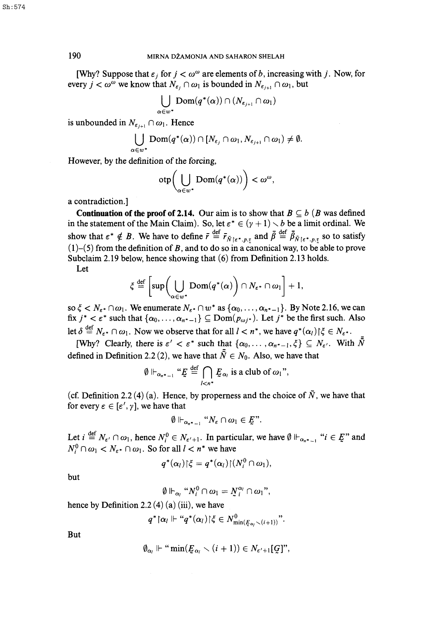190 MIRNA D2AMONJA AND SAHARON SHELAH

[Why? Suppose that  $\epsilon_i$  for  $j < \omega^\omega$  are elements of b, increasing with j. Now, for every  $j < \omega^{\omega}$  we know that  $N_{\varepsilon_i} \cap \omega_1$  is bounded in  $N_{\varepsilon_{i+1}} \cap \omega_1$ , but

$$
\bigcup_{\alpha\in w^*}{\rm Dom}(q^*(\alpha))\cap (N_{\varepsilon_{j+1}}\cap\omega_1)
$$

is unbounded in  $N_{\epsilon_{i+1}} \cap \omega_1$ . Hence

$$
\bigcup_{\iota\in w^*}\text{Dom}(q^*(\alpha))\cap [N_{\varepsilon_j}\cap\omega_1,N_{\varepsilon_{j+1}}\cap\omega_1)\neq\emptyset.
$$

However, by the definition of the forcing,

$$
otp\left(\bigcup_{\alpha\in w^*}\mathrm{Dom}(q^*(\alpha))\right)<\omega^\omega,
$$

a contradiction.]

**Continuation of the proof of 2.14.** Our aim is to show that  $B \subseteq b$  (*B* was defined in the statement of the Main Claim). So, let  $\varepsilon^* \in (\gamma + 1) \setminus b$  be a limit ordinal. We def -  $\overline{a}$  and  $\overline{a}$  def  $\overline{a}$ show that  $e^* \notin B$ . We have to define  $f = F_{\tilde{N}}|_{\varepsilon^*, p, \overline{x}}$  and  $p = P_{N}|_{\varepsilon^*, p, \overline{x}}$  so to satisfy (l)-(5) from the definition of *B,* and to do so in a canonical way, to be able to prove Subclaim 2.19 below, hence showing that (6) from Definition 2.13 holds.

Let

$$
\xi \stackrel{\text{def}}{=} \left[ \sup \left( \bigcup_{\alpha \in w^*} \text{Dom}(q^*(\alpha) \right) \cap N_{\varepsilon^*} \cap \omega_1 \right] + 1,
$$

so  $\xi < N_{\varepsilon^*} \cap \omega_1$ . We enumerate  $N_{\varepsilon^*} \cap w^*$  as  $\{\alpha_0, \ldots, \alpha_{n^*-1}\}$ . By Note 2.16, we can fix  $j^* < \varepsilon^*$  such that  $\{\alpha_0, \ldots, \alpha_{n^*-1}\} \subseteq \text{Dom}(p_{\omega j^*})$ . Let  $j^*$  be the first such. Also let  $\delta \stackrel{\text{def}}{=} N_{\epsilon^*} \cap \omega_1$ . Now we observe that for all  $l < n^*$ , we have  $q^*(\alpha_l) \upharpoonright \xi \in N_{\epsilon^*}$ .

[Why? Clearly, there is  $\varepsilon' < \varepsilon^*$  such that  $\{\alpha_0, \ldots, \alpha_{n^*-1}, \xi\} \subseteq N_{\varepsilon'}$ . With  $\bar{\bar{N}}$ defined in Definition 2.2 (2), we have that  $\bar{\bar{N}} \in N_0$ . Also, we have that

$$
\emptyset \Vdash_{\alpha_{n^*-1}} "E \stackrel{\text{def}}{=} \bigcap_{l < n^*} E_{\alpha_l} \text{ is a club of } \omega_1",
$$

(cf. Definition 2.2 (4) (a). Hence, by properness and the choice of  $\overline{N}$ , we have that for every  $\epsilon \in [\epsilon', \gamma]$ , we have that

$$
\emptyset \Vdash_{\alpha_{n^*-1}} "N_{\varepsilon} \cap \omega_1 \in E".
$$

Let  $i \stackrel{\text{def}}{=} N_{\epsilon'} \cap \omega_1$ , hence  $N_i^0 \in N_{\epsilon'+1}$ . In particular, we have  $\emptyset \Vdash_{\alpha_{n^*-1}} "i \in E"$  and  $N_i^0 \cap \omega_1 < N_{\epsilon^*} \cap \omega_1$ . So for all  $l < n^*$  we have

$$
q^*(\alpha_l)|\xi = q^*(\alpha_l)|\,N_i^0 \cap \omega_1),
$$

but

$$
\emptyset \Vdash_{\alpha_i} "N_i^0 \cap \omega_1 = N_i^{\alpha_i} \cap \omega_1",
$$

hence by Definition 2.2  $(4)$   $(a)$   $(iii)$ , we have

$$
q^* \lceil \alpha_l \Vdash ``q^*(\alpha_l) \rceil \xi \in N^0_{\min(\underline{F}_{\alpha_l} \setminus (i+1))}".
$$

But

$$
\emptyset_{\alpha_i} \Vdash ``\min(\underline{E}_{\alpha_i} \smallsetminus (i+1)) \in N_{\varepsilon'+1}[\mathcal{G}]",
$$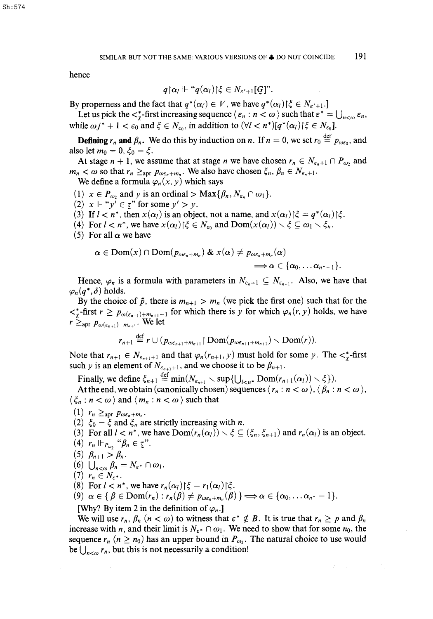hence

$$
q {\restriction} \alpha_l \Vdash ``q(\alpha_l) {\restriction} \xi \in N_{\varepsilon' + 1}[\c Cj".
$$

By properness and the fact that  $q^*(\alpha_l) \in V$ , we have  $q^*(\alpha_l) \upharpoonright \xi \in N_{\varepsilon'+1}$ .]

Let us pick the  $\langle \xi_n : n \leq \omega \rangle$  such that  $\varepsilon^* = \bigcup_{n \leq \omega} \varepsilon_n$ , while  $\omega j^* + 1 < \varepsilon_0$  and  $\xi \in N_{\varepsilon_0}$ , in addition to  $(\forall l < n^*)[q^*(\alpha_l)|\xi \in N_{\varepsilon_0}].$ 

def **Defining**  $r_n$  and  $p_n$ . We do this by induction on n,  $\ln n = 0$ , we set  $r_0 = p_{0.050}$ , and also let  $m_0 = 0$ ,  $\xi_0 = \xi$ .<br>At stage  $n + 1$ , we assume that at stage *n* we have chosen  $r_n \in N_{\epsilon_n+1} \cap P_{\omega_2}$ , and

 $m_n < \omega$  so that  $r_n \geq_{\text{apr}} p_{\omega \varepsilon_n + m_n}$ . We also have chosen  $\xi_n$ ,  $\beta_n \in N_{\varepsilon_n + 1}$ .  $m_n \propto \omega$  so that  $r_n \leq \frac{2}{n} F \omega \varepsilon_n + m_n$ . We also have chosen  $\zeta_n$ ,  $\mu_n \leq \frac{2}{n} \varepsilon_{n+1}$ .

We define a formula  $\varphi_n(x, y)$  which says

- (1)  $x \in P_{\omega_2}$  and y is an ordinal > Max $\{\beta_n, N_{\varepsilon_n} \cap \omega_1\}.$
- (2)  $x \Vdash "y' \in \underline{\tau}$ " for some  $y' > y$ .
- (3) If  $l < n^*$ , then  $x(\alpha_l)$  is an object, not a name, and  $x(\alpha_l) \mid \xi = q^*(\alpha_l) \mid \xi$ .
- (4) For  $l < n^*$ , we have  $x(\alpha_l) \in N_{\epsilon_0}$  and  $Dom(x(\alpha_l)) \setminus \xi \subseteq \omega_1 \setminus \xi_n$ .
- (5) For all  $\alpha$  we have

$$
\alpha \in \text{Dom}(x) \cap \text{Dom}(p_{\omega \varepsilon_n + m_n}) \& x(\alpha) \neq p_{\omega \varepsilon_n + m_n}(\alpha) \Rightarrow \alpha \in \{\alpha_0, \ldots \alpha_{n^* - 1}\}.
$$

Hence,  $\varphi_n$  is a formula with parameters in  $N_{\varepsilon_{n+1}} \subseteq N_{\varepsilon_{n+1}}$ . Also, we have that  $\varphi_n(q^*,\delta)$  holds.

By the choice of  $\bar{p}$ , there is  $m_{n+1} > m_n$  (we pick the first one) such that for the  $\langle \xi \rangle$ -first  $r \geq p_{\omega(\varepsilon_{n+1})+m_{n+1}-1}$  for which there is y for which  $\varphi_n(r, y)$  holds, we have  $r \geq_{\text{apr}} p_{\omega(\varepsilon_{n+1})+m_{n+1}}$ . We let

$$
r_{n+1} \stackrel{\text{def}}{=} r \cup (p_{\omega \varepsilon_{n+1}+m_{n+1}} \upharpoonright \text{Dom}(p_{\omega \varepsilon_{n+1}+m_{n+1}}) \smallsetminus \text{Dom}(r)).
$$

Note that  $r_{n+1} \in N_{\epsilon_{n+1}+1}$  and that  $\varphi_n(r_{n+1}, y)$  must hold for some y. The  $\lt^*_\gamma$ -first such y is an element of  $N_{\epsilon_{n+1}+1}$ , and we choose it to be  $\beta_{n+1}$ .

Finally, we define  $\xi_{n+1} \stackrel{\text{def}}{=} \min(N_{\varepsilon_{n+1}} \setminus \sup\{U_{l < n^*} \text{Dom}(r_{n+1}(\alpha_l)) \setminus \xi\}).$ 

At the end, we obtain (canonically chosen) sequences  $\langle r_n : n < \omega \rangle$ ,  $\langle \beta_n : n < \omega \rangle$ ,  $\langle \xi_n : n < \omega \rangle$  and  $\langle m_n : n < \omega \rangle$  such that

- (1)  $r_n \geq_{\text{apr}} p_{\omega \varepsilon_n + m_n}$ .
- (2)  $\xi_0 = \xi$  and  $\xi_n$  are strictly increasing with *n*.
- (3) For all  $l < n^*$ , we have  $Dom(r_n(\alpha_l)) \setminus \xi \subseteq (\xi_n, \xi_{n+1})$  and  $r_n(\alpha_l)$  is an object.
- (4)  $r_n \Vdash_{P_{\omega_2}}$  " $\beta_n \in \underline{\tau}$ ".
- (5)  $\beta_{n+1} > \beta_n$ .
- (6)  $\bigcup_{n<\omega}\beta_n=N_{\varepsilon^*}\cap\omega_1.$
- (7)  $r_n \in N_{\varepsilon^*}.$
- (8) For  $l < n^*$ , we have  $r_n(\alpha_l) \upharpoonright \xi = r_1(\alpha_l) \upharpoonright \xi$ .

$$
(9) \ \alpha \in \{\beta \in \text{Dom}(r_n): r_n(\beta) \neq p_{\omega \varepsilon_n + m_n}(\beta)\} \Longrightarrow \alpha \in \{\alpha_0, \ldots \alpha_{n^*}-1\}.
$$

[Why? By item 2 in the definition of  $\varphi_n$ .]

 $(x \cdot x + b)$ . It is true that  $y \geq n$ We will use  $r_h$ ,  $p_h$   $\langle h \times \omega \rangle$  to withess the increase with *n*, and their limit is  $N_{\epsilon^*} \cap \omega_1$ . We need to show that for some  $n_0$ , the sequence  $r_n$  ( $n \ge n_0$ ) has an upper bound in  $P_{\omega_2}$ . The natural choice to use would be  $\bigcup_{n<\omega} r_n$ , but this is not necessarily a condition!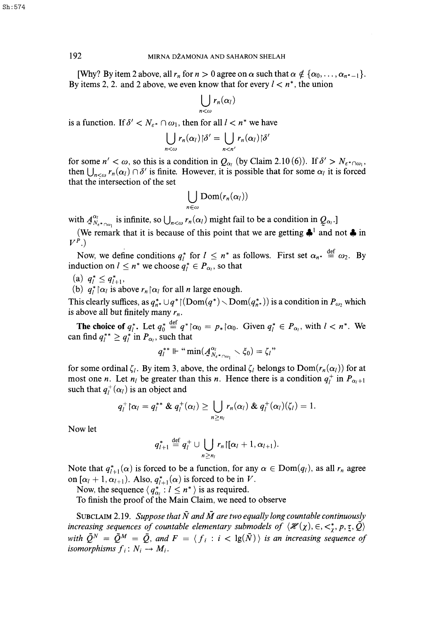[Why? By item 2 above, all  $r_n$  for  $n > 0$  agree on  $\alpha$  such that  $\alpha \notin {\alpha_0, \ldots, \alpha_{n^*-1}}$ . By items 2, 2. and 2 above, we even know that for every  $l < n^*$ , the union

$$
\bigcup_{n<\omega} r_n(\alpha_l)
$$

is a function. If  $\delta' < N_{\varepsilon^*} \cap \omega_1$ , then for all  $l < n^+$  we have

$$
\bigcup_{n<\omega}r_n(\alpha_l)|\delta'=\bigcup_{n
$$

for some  $n' < \omega$ , so this is a condition in  $Q_{\alpha}$  (by Claim 2.10(6)). If  $\delta' > N_{\epsilon^* \cap \omega_1}$ , then  $\bigcup_{n\leq\omega} r_n(\alpha_i) \cap \delta'$  is finite. However, it is possible that for some  $\alpha_i$  it is forced that the intersection of the set

$$
\bigcup_{n\in\omega}\mathrm{Dom}(r_n(\alpha_l))
$$

with  $A_{N_{\epsilon^* \cap \omega_1}}^{\alpha_i}$  is infinite, so  $\bigcup_{n < \omega} r_n(\alpha_i)$  might fail to be a condition in  $Q_{\alpha_i}$ .

(We remark that it is because of this point that we are getting  $\clubsuit^1$  and not  $\clubsuit$  in  $V^P$ .)

def Now, we define conditions  $q_1$  for  $t \geq n$  as follows. First set  $\alpha_{n^*} = \omega_2$ . By induction on  $l \leq n^*$  we choose  $q_l^* \in P_{\alpha_l}$ , so that

(a)  $q_l^* \leq q_{l+1}^*$ ,

(b)  $q_l^* \upharpoonright \alpha_l$  is above  $r_n \upharpoonright \alpha_l$  for all *n* large enough.

This clearly suffices, as  $q_{n*}^* \cup q^* | (Dom(q^*) \setminus Dom(q^*_{n*}))$  is a condition in  $P_{\omega_2}$  which is above all but finitely many  $r_n$ .

def **The choice of**  $q_i$ . Let  $q_0 = q \mid \alpha_0 = p_* \mid \alpha_0$ . Given  $q_i \in P_{\alpha_i}$ , with  $i \leq n'$ . We can find  $q_i^{**} \ge q_i^*$  in  $P_{\alpha_i}$ , such that

$$
q_l^{**}\Vdash ``\min(A^{\alpha_l}_{N_{\epsilon^*\cap\omega_1}}\smallsetminus\xi_0)=\zeta_l"
$$

for some ordinal  $\zeta_l$ . By item 3, above, the ordinal  $\zeta_l$  belongs to  $Dom(r_n(\alpha_l))$  for at most one *n*. Let  $n_i$  be greater than this *n*. Hence there is a condition  $q_i^+$  in  $P_{\alpha_i+1}$ such that  $q_l^+(\alpha_l)$  is an object and

$$
q_l^+\{\alpha_l=q_l^{**}\&q_l^+(\alpha_l)\geq \bigcup_{n\geq n_l}r_n(\alpha_l)\&q_l^+(\alpha_l)(\zeta_l)=1.
$$

Now let

$$
q_{l+1}^* \stackrel{\text{def}}{=} q_l^+ \cup \bigcup_{n \geq n_l} r_n \left[ \left[ \alpha_l + 1, \alpha_{l+1} \right] \right].
$$

Note that  $q_{l+1}^*(\alpha)$  is forced to be a function, for any  $\alpha \in \text{Dom}(q_l)$ , as all  $r_n$  agree on  $[\alpha_l + 1, \alpha_{l+1})$ . Also,  $q_{l+1}^*(\alpha)$  is forced to be in V.

Now, the sequence  $\langle q_{\alpha_i}^* : l \leq n^* \rangle$  is as required.

To finish the proof of the Main Claim, we need to observe

SUBCLAIM 2.19. Suppose that  $\overline{N}$  and  $\overline{M}$  are two equally long countable continuously *increasing sequences of countable elementary submodels of*  $\langle \mathcal{H}(\chi), \in, \lt^*_\chi, p, \zeta, \bar{Q} \rangle$ with  $\bar{Q}^N = \bar{Q}^M = \bar{Q}$ , and  $F = \langle f_i : i < \lg(\bar{N}) \rangle$  is an increasing sequence of *isomorphisms*  $f_i: N_i \rightarrow M_i$ .

Sh:574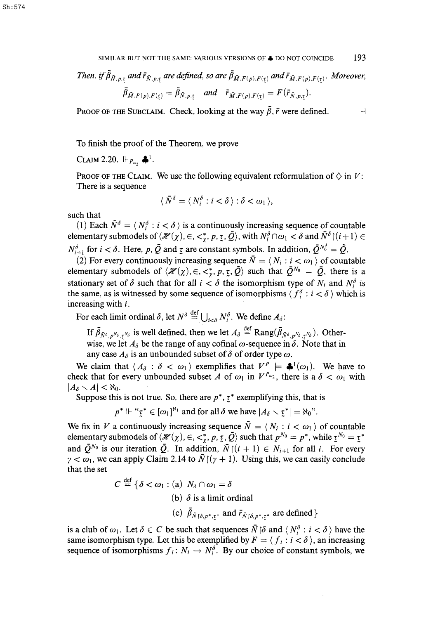SIMILAR BUT NOT THE SAME: VARIOUS VERSIONS OF  $\clubsuit$  DO NOT COINCIDE 193

*Then, if*  $\bar{\beta}_{\bar{N},p,\tau}$  and  $\bar{r}_{\bar{N},p,\tau}$  are defined, so are  $\bar{\beta}_{\bar{M},F(p),F(\tau)}$  and  $\bar{r}_{\bar{M},F(p),F(\tau)}$ . Moreover,  $\overline{\beta}_{\overline{M},F(p),F(\tau)} = \overline{\beta}_{\overline{N},p,\tau}$  and  $\overline{r}_{\overline{M},F(p),F(\tau)} = F(\overline{r}_{\overline{N},p,\tau}).$ 

PROOF OF THE SUBCLAIM. Check, looking at the way  $\bar{\beta}$ ,  $\bar{r}$  were defined.

To finish the proof of the Theorem, we prove

**CLAIM 2.20.**  $\Vdash_{P_{\omega_2}} \clubsuit^1$ .

PROOF OF THE CLAIM. We use the following equivalent reformulation of  $\Diamond$  in *V*: There is a sequence

$$
\langle \bar{N}^{\delta} = \langle N_i^{\delta} : i < \delta \rangle : \delta < \omega_1 \rangle,
$$

such that

(1) Each  $\bar{N}^{\delta} = \langle N_i^{\delta} : i < \delta \rangle$  is a continuously increasing sequence of countable elementary submodels of  $\langle \mathcal{H}(\chi), \in, \lt^*, p, \tau, Q \rangle$ , with  $N_i^o \cap \omega_1 < \delta$  and  $N^o \mid (i+1) \in$  $N_{i+1}^{\delta}$  for  $i < \delta$ . Here, p,  $\bar{Q}$  and  $\tau$  are constant symbols. In addition,  $\bar{Q}^{N_0^o} = \bar{Q}$ .

(2) For every continuously increasing sequence  $\bar{N} = \langle N_i : i < \omega_1 \rangle$  of countable elementary submodels of  $\langle \mathcal{H}(\chi), \in, <^*_\chi, p, \underline{\tau}, \overline{Q} \rangle$  such that  $\overline{Q}^{N_0} = \overline{Q}$ , there is a stationary set of  $\delta$  such that for all  $i < \delta$  the isomorphism type of  $N_i$  and  $N_i^{\delta}$  is the same, as is witnessed by some sequence of isomorphisms  $\langle f_i^{\delta} : i < \delta \rangle$  which is increasing with *i.* 

For each limit ordinal  $\delta$ , let  $N^{\delta} \stackrel{\text{def}}{=} \bigcup_{i < \delta} N_i^{\delta}$ . We define  $A_{\delta}$ :

*If*  $\bar{\beta}_{\bar{N}^{\delta}, p^{\bar{N}_{\delta}}, \bar{\tau}^{\bar{N}_{\delta}}}$  is well defined, then we let  $A_{\delta} \stackrel{\text{def}}{=} \text{Rang}(\bar{\beta}_{\bar{N}^{\delta}, p^{\bar{N}_{\delta}}, \bar{\tau}^{\bar{N}_{\delta}}}).$  Otherwise, we let  $A_{\delta}$  be the range of any cofinal  $\omega$ -sequence in  $\delta$ . Note that in any case  $A_{\delta}$  is an unbounded subset of  $\delta$  of order type  $\omega$ .

We claim that  $\langle A_{\delta} : \delta < \omega_1 \rangle$  exemplifies that  $V^P \models \clubsuit^1(\omega_1)$ . We have to check that for every unbounded subset A of  $\omega_1$  in  $V^{P_{\omega_2}}$ , there is a  $\delta < \omega_1$  with  $|A_\delta \setminus A| < \aleph_0$ .

Suppose this is not true. So, there are  $p^*$ ,  $\tau^*$  exemplifying this, that is

 $p^* \Vdash ``\underline{\tau}^* \in [\omega_1]^{\aleph_1}$  and for all  $\delta$  we have  $|A_{\delta} \setminus \underline{\tau}^*| = \aleph_0"$ .

We fix in *V* a continuously increasing sequence  $\overline{N} = \langle N_i : i < \omega_1 \rangle$  of countable elementary submodels of  $\langle \mathcal{H}(\chi), \in, <^*, p, \underline{\tau}, \vec{Q} \rangle$  such that  $p^{N_0} = p^*$ , while  $\underline{\tau}^{N_0} = \underline{\tau}^*$ and  $\bar{Q}^{N_0}$  is our iteration  $\bar{Q}$ . In addition,  $\bar{N}((i + 1) \in N_{i+1}$  for all *i*. For every  $\gamma < \omega_1$ , we can apply Claim 2.14 to  $\bar{N} \left[ (\gamma + 1) \right]$ . Using this, we can easily conclude that the set

$$
C \stackrel{\text{def}}{=} \{ \delta < \omega_1 : (\text{a}) \ N_\delta \cap \omega_1 = \delta
$$
\n
$$
(\text{b}) \ \delta \text{ is a limit ordinal}
$$
\n
$$
(\text{c}) \ \bar{\beta}_{\bar{N} \restriction \delta, p^*, \underline{r}^*} \text{ and } \bar{r}_{\bar{N} \restriction \delta, p^*, \underline{r}^*} \text{ are defined } \}
$$

is a club of  $\omega_1$ . Let  $\delta \in C$  be such that sequences  $\bar{N} \upharpoonright \delta$  and  $\langle N_i^{\delta} : i < \delta \rangle$  have the same isomorphism type. Let this be exemplified by  $F = \langle f_i : i < \delta \rangle$ , an increasing sequence of isomorphisms  $f_i: N_i \to N_i^{\delta}$ . By our choice of constant symbols, we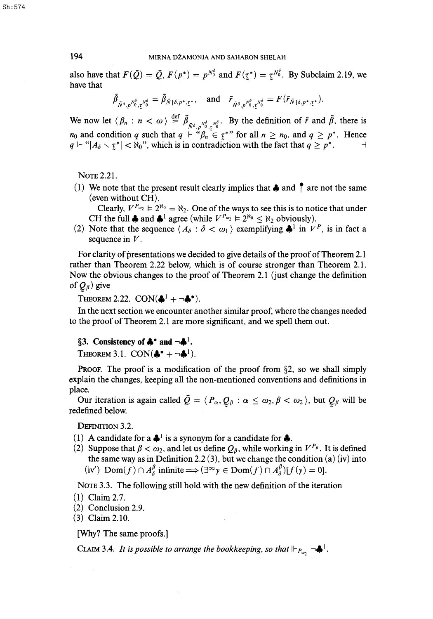also have that  $F(\tilde{Q}) = \tilde{Q}$ ,  $F(p^*) = p^{N_0^2}$  and  $F(\tau^*) = \tau^{N_0^2}$ . By Subclaim 2.19, we have that

$$
\bar{\beta}_{\bar{N}^{\delta},p^{\bar{N}^{\delta}}_{0},\bar{\zeta}^{\bar{N}^{\delta}}_{0}}=\bar{\beta}_{\bar{N}\restriction \delta,p^{\star},\bar{\zeta}^{\star}},\quad \text{and}\quad \bar{r}_{\bar{N}^{\delta},p^{\bar{N}^{\delta}}_{0},\bar{\zeta}^{\bar{N}^{\delta}}_{0}}=F(\bar{r}_{\bar{N}\restriction \delta,p^{\star},\bar{\zeta}^{\star}}).
$$

We now let  $\langle \beta_n : n < \omega \rangle \stackrel{\text{def}}{=} \overline{\beta}_{\overline{N}^{\delta}, p^{\overline{N}^{\delta}}_{\overline{0}}, \overline{\zeta}^{\overline{N}^{\delta}}_{\overline{0}}, \overline{N}^{\delta}^{\delta}}$ . By the definition of  $\overline{r}$  and  $\overline{\beta}$ , there is  $n_0$  and condition q such that  $q \Vdash \mathcal{B}_n \in \mathcal{I}^*$  for all  $n \geq n_0$ , and  $q \geq p^*$ . Hence  $q \Vdash "|A_{\delta} \setminus \zeta^*| < \aleph_0$ ", which is in contradiction with the fact that  $q \geq p^*$ .

NOTE 2.21.

(1) We note that the present result clearly implies that  $\clubsuit$  and  $\uparrow$  are not the same (even without CH).

Clearly,  $V^{P_{\omega_2}} \models 2^{\aleph_0} = \aleph_2$ . One of the ways to see this is to notice that under CH the full  $\clubsuit$  and  $\clubsuit$ <sup>1</sup> agree (while  $V^{p_{\omega_2}} \vDash 2^{\aleph_0} \leq \aleph_2$  obviously).

(2) Note that the sequence  $\langle A_{\delta} : \delta < \omega_1 \rangle$  exemplifying  $\clubsuit^1$  in  $V^P$ , is in fact a sequence in *V.* 

For clarity of presentations we decided to give details of the proof of Theorem 2.1 rather than Theorem 2.22 below, which is of course stronger than Theorem 2.1. Now the obvious changes to the proof of Theorem 2.1 (just change the definition of *Qp)* give

THEOREM 2.22.  $CON(\clubsuit^1 + \neg \clubsuit^*).$ 

In the next section we encounter another similar proof, where the changes needed to the proof of Theorem 2.1 are more significant, and we spell them out.

## §3. Consistency of  $\clubsuit^{\bullet}$  and  $\neg \clubsuit^{\perp}$ .

THEOREM 3.1.  $CON(\clubsuit^* + \neg \clubsuit^1)$ .

PROOF. The proof is a modification of the proof from §2, so we shall simply explain the changes, keeping all the non-mentioned conventions and definitions in place.

Our iteration is again called  $\bar{Q} = \langle P_{\alpha}, Q_{\beta} : \alpha \leq \omega_2, \beta < \omega_2 \rangle$ , but  $Q_{\beta}$  will be redefined below.

DEFINITION 3.2.

- (1) A candidate for a  $\clubsuit^1$  is a synonym for a candidate for  $\clubsuit$ .
- (2) Suppose that  $\beta < \omega_2$ , and let us define  $Q_\beta$ , while working in  $V^{P_\beta}$ . It is defined the same way as in Definition 2.2 (3), but we change the condition (a) (iv) into  $(iv')$  Dom $(f) \cap A_{\delta}^{\beta}$  infinite  $\Longrightarrow (\exists^{\infty} \gamma \in \text{Dom}(f) \cap A_{\delta}^{\beta})[f(\gamma) = 0].$

NOTE 3.3. The following still hold with the new definition of the iteration

- (1) Claim 2.7.
- (2) Conclusion 2.9.
- (3) Claim 2.10.

[Why? The same proofs.]

CLAIM 3.4. It is possible to arrange the bookkeeping, so that  $\Vdash_{P_{\text{max}}} \neg \clubsuit^1$ .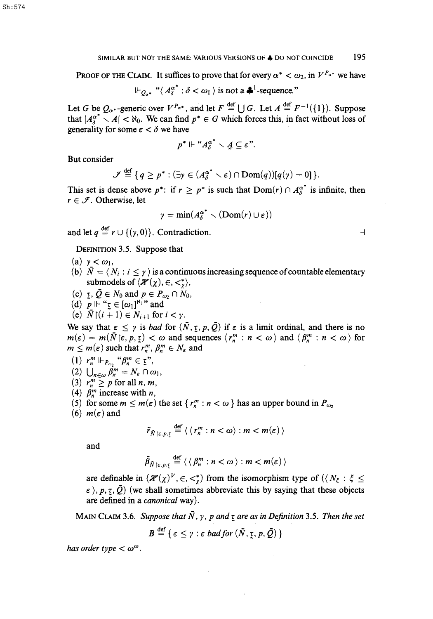PROOF OF THE CLAIM. It suffices to prove that for every  $\alpha^* < \omega_2$ , in  $V^{P_{\alpha^*}}$  we have

$$
\Vdash_{Q_{\alpha^*}} \text{``}\langle A_{\delta}^{\alpha^*} : \delta < \omega_1 \rangle
$$
 is not a  $\clubsuit^1$ -sequence."

Let *G* be  $Q_{\alpha}$ -generic over  $V^{P_{\alpha^*}}$ , and let  $F \stackrel{\text{def}}{=} \bigcup G$ . Let  $A \stackrel{\text{def}}{=} F^{-1}(\{1\})$ . Suppose that  $|A_{\lambda}^{\alpha^*} \setminus A| < \aleph_0$ . We can find  $p^* \in G$  which forces this, in fact without loss of generality for some  $\varepsilon < \delta$  we have

$$
p^* \Vdash ``A_{\delta}^{\alpha^*} \setminus A \subseteq \varepsilon".
$$

But consider

$$
\mathcal{F} \stackrel{\text{def}}{=} \{q \geq p^* : (\exists \gamma \in (A_\delta^{\alpha^*} \setminus \varepsilon) \cap \text{Dom}(q))[q(\gamma) = 0]\}.
$$

This set is dense above  $p^*$ : if  $r \ge p^*$  is such that  $Dom(r) \cap A^{\alpha^*}_\delta$  is infinite, then  $r \in \mathcal{I}$ . Otherwise, let

$$
\gamma = \min(A_{\delta}^{\alpha^*} \setminus (\text{Dom}(r) \cup \varepsilon))
$$

and let  $q \stackrel{\text{def}}{=} r \cup \{(\gamma, 0)\}\)$ . Contradiction.

DEFINITION 3.5. Suppose that

- (a)  $\gamma < \omega_1$ ,
- (b)  $\bar{N} = \langle N_i : i \leq \gamma \rangle$  is a continuous increasing sequence of countable elementary submodels of  $\langle \mathcal{H}(\chi), \in, \lt^*_{\chi} \rangle$ ,
- (c)  $\tau$ ,  $Q \in N_0$  and  $p \in P_{\omega_2} \cap N_0$ ,
- (d)  $p \Vdash " \underline{\tau} \in [\omega_1]^{N_1}$ " and
- (e)  $\overline{N}\restriction (i + 1) \in N_{i+1}$  for  $i < \gamma$ .

We say that  $\varepsilon \leq \gamma$  is *bad* for  $(\bar{N}, \underline{\tau}, p, \bar{Q})$  if  $\varepsilon$  is a limit ordinal, and there is no  $m(\varepsilon) = m(\bar{N}(\varepsilon, p, \zeta)) < \omega$  and sequences  $\langle r_n^m : n < \omega \rangle$  and  $\langle \beta_n^m : n < \omega \rangle$  for  $m \leq m(\varepsilon)$  such that  $r_n^m$ ,  $\beta_n^m \in N_{\varepsilon}$  and

(1) 
$$
r_n^m \Vdash_{P_{\omega_2}} \Uparrow P_n^m \in \mathfrak{X}^n
$$
,  
\n(2)  $\bigcup_{n \in \omega} \beta_n^m = N_{\varepsilon} \cap \omega_1$ ,  
\n(3)  $r_n^m \geq p$  for all *n*, *m*,

- (4)  $\beta_n^m$  increase with *n*,
- (5) for some  $m \le m(\varepsilon)$  the set  $\{r_n^m : n < \omega\}$  has an upper bound in  $P_{\omega_2}$
- (6)  $m(\epsilon)$  and

$$
\tilde{r}_{\tilde{N}\restriction \varepsilon,p,\underline{\tau}} \stackrel{\text{def}}{=} \langle \langle r_n^m : n < \omega \rangle : m < m(\varepsilon) \rangle
$$

and

$$
\bar{\beta}_{\bar{N}\restriction \varepsilon,p,\underline{\tau}}\stackrel{\text{def}}{=} \langle \langle \beta_n^m : n < \omega \rangle : m < m(\varepsilon) \rangle
$$

are definable in  $(\mathcal{H}(\chi)^V, \in, \lt^*_{\chi})$  from the isomorphism type of  $(\langle N_{\xi} : \xi \leq \cdot \rangle_{\text{max}})$  (we shall constitute through this by equine that these shipped  $\langle \cdot \rangle$ ,  $p, \tau, \bar{Q}$ ) (we shall sometimes abbreviate this by saying that these objects are defined in a *canonical* way).

MAIN CLAIM 3.6. Suppose that  $\bar{N}$ ,  $\gamma$ ,  $p$  and  $\tau$  are as in Definition 3.5. Then the set

$$
B \stackrel{\text{def}}{=} \{ \, \varepsilon \leq \gamma : \varepsilon \; bad \, for \, (\tilde{N}, \underline{\tau}, p, \bar{Q}) \, \}
$$

has order type  $< \omega^{\omega}$ .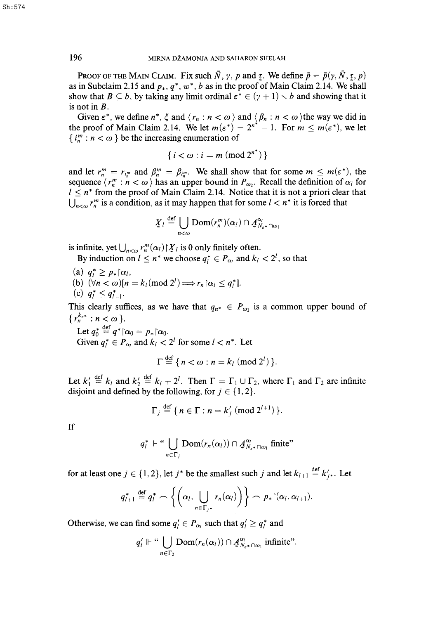PROOF OF THE MAIN CLAIM. Fix such  $\bar{N}$ ,  $\gamma$ ,  $p$  and  $\tau$ . We define  $\bar{p} = \bar{p}(\gamma, \bar{N}, \tau, p)$ as in Subclaim 2.15 and  $p_*, q^*, w^*, b$  as in the proof of Main Claim 2.14. We shall show that  $B \subseteq b$ , by taking any limit ordinal  $\varepsilon^* \in (\gamma + 1) \setminus b$  and showing that it is not in *B.* 

Given  $\varepsilon^*$ , we define  $n^*$ ,  $\xi$  and  $\langle r_n : n < \omega \rangle$  and  $\langle \beta_n : n < \omega \rangle$  the way we did in the proof of Main Claim 2.14. We let  $m(\varepsilon^*) = 2^{n^*} - 1$ . For  $m \le m(\varepsilon^*)$ , we let  $\{i_n^m : n < \omega\}$  be the increasing enumeration of

$$
\{i<\omega: i=m \pmod{2^{n^*}}\}
$$

and let  $r_n^m = r_{i_n^m}$  and  $\beta_n^m = \beta_{i_n^m}$ . We shall show that for some  $m \leq m(\varepsilon^*)$ , the sequence  $\langle r_n^m : n < \omega \rangle$  has an upper bound in  $P_{\omega_2}$ . Recall the definition of  $\alpha_i$  for  $I \leq n^*$  from the proof of Main Claim 2.14. Notice that it is not a priori clear that  $\bigcup_{n<\omega} r_n^m$  is a condition, as it may happen that for some  $l < n^*$  it is forced that

$$
\underline{X}_l \stackrel{\text{def}}{=} \bigcup_{n < \omega} \text{Dom}(r_n^m)(\alpha_l) \cap \underline{A}_{N_{\varepsilon^*} \cap \omega_1}^{\alpha_l}
$$

is infinite, yet  $\bigcup_{n<\omega} r_n^m(\alpha_l) \upharpoonright X_l$  is 0 only finitely often.

By induction on  $l \leq n^*$  we choose  $q_l^* \in P_{\alpha_l}$  and  $k_l < 2^l$ , so that

- (a)  $q_l^* \geq p_* \upharpoonright \alpha_l$ ,
- (b)  $\overline{(\forall n < \omega)} [n = k_l \pmod{2^l} \Longrightarrow r_n \, \alpha_l \leq q_l^*].$

(c) 
$$
q_l^* \leq q_{l+1}^*
$$
.

This clearly suffices, as we have that  $q_{n^*} \in P_{\omega_2}$  is a common upper bound of {  $r_n^{k_{n^*}}$  :  $n < \omega$  }.<br>Let  $q_0^* \stackrel{\text{def}}{=} q^* \upharpoonright \alpha_0 = p_* \upharpoonright \alpha_0$ .

Let  $q_0 = q \alpha_0 = p_*|\alpha_0|$ . Given  $q_l^* \in P_{\alpha_l}$  and  $k_l < 2^l$  for some  $l < n^*$ . Let

$$
\Gamma \stackrel{\text{det}}{=} \{ n < \omega : n = k_l \pmod{2^l} \}.
$$

Let  $k'_1 \stackrel{\text{def}}{=} k_i$  and  $k'_2 \stackrel{\text{def}}{=} k_i + 2^l$ . Then  $\Gamma = \Gamma_1 \cup \Gamma_2$ , where  $\Gamma_1$  and  $\Gamma_2$  are infinite disjoint and defined by the following, for  $j \in \{1, 2\}$ .

$$
\Gamma_j \stackrel{\text{def}}{=} \{ n \in \Gamma : n = k'_j \pmod{2^{l+1}} \}.
$$

If

$$
q_l^* \Vdash \text{``}\bigcup_{n \in \Gamma_j} \text{Dom}(r_n(\alpha_l)) \cap \mathcal{A}_{N_{\varepsilon^*} \cap \omega_l}^{\alpha_l} \text{ finite''}
$$

for at least one  $j \in \{1,2\}$ , let  $j^*$  be the smallest such  $j$  and let  $k_{l+1} \stackrel{\text{def}}{=} k'_j$ . Let

$$
q_{l+1}^* \stackrel{\text{def}}{=} q_l^* \frown \left\{ \left( \alpha_l, \bigcup_{n \in \Gamma_{j^*}} r_n(\alpha_l) \right) \right\} \frown p_* \lceil (\alpha_l, \alpha_{l+1}).
$$

Otherwise, we can find some  $q'_i \in P_{\alpha_i}$  such that  $q'_i \geq q_i^*$  and

$$
q'_{l} \Vdash \text{``}\bigcup_{n \in \Gamma_2} \text{Dom}(r_n(\alpha_l)) \cap \mathcal{A}_{N_{\epsilon^*} \cap \omega_1}^{\alpha_l}
$$
 infinite".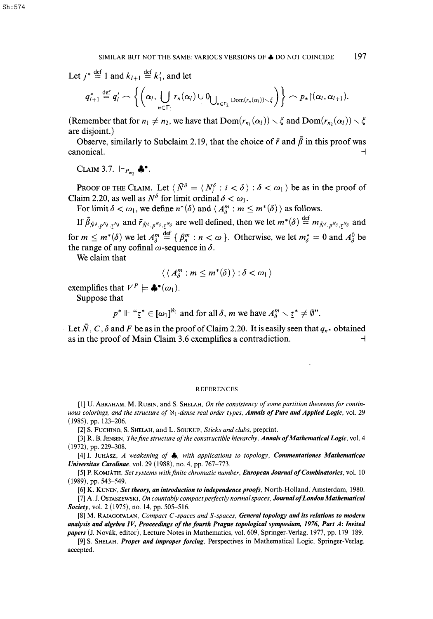Let  $j^* \stackrel{\text{def}}{=} 1$  and  $k_{l+1} \stackrel{\text{def}}{=} k'_1$ , and let

$$
q_{l+1}^* \stackrel{\text{def}}{=} q_l' \frown \left\{ \left( \alpha_l, \bigcup_{n \in \Gamma_1} r_n(\alpha_l) \cup 0_{\bigcup_{n \in \Gamma_2} \text{Dom}(r_n(\alpha_l)) \setminus \xi} \right) \right\} \frown p_* \lceil (\alpha_l, \alpha_{l+1}).
$$

(Remember that for  $n_1 \neq n_2$ , we have that  $Dom(r_{n_1}(\alpha_l)) \setminus \xi$  and  $Dom(r_{n_2}(\alpha_l)) \setminus \xi$ are disjoint.)

Observe, similarly to Subclaim 2.19, that the choice of  $\bar{r}$  and  $\bar{\beta}$  in this proof was  $\Box$ canonical.  $\Box$ 

CLAIM 3.7.  $\Vdash_{P_{\omega_2}} \clubsuit^{\bullet}$ .

PROOF OF THE CLAIM. Let  $\langle \bar{N}^{\delta} = \langle N_i^{\delta} : i < \delta \rangle : \delta < \omega_1 \rangle$  be as in the proof of Claim 2.20, as well as  $N^{\delta}$  for limit ordinal  $\delta < \omega_1$ .

For limit  $\delta < \omega_1$ , we define  $n^*(\delta)$  and  $\langle A_0^m : m \leq m^*(\delta) \rangle$  as follows.

If  $\bar{\beta}_{\bar{N}^{\delta}, p^{\bar{N}_{\delta}}, \bar{\tau}^{\bar{N}_{\delta}}}$  and  $\bar{r}_{\bar{N}^{\delta}, p^{\bar{N}_{\delta}}, \bar{\tau}^{\bar{N}_{\delta}}}$  are well defined, then we let  $m^*(\delta) \stackrel{\text{def}}{=} m_{\bar{N}^{\delta}, p^{\bar{N}_{\delta}}, \tau^{\bar{N}_{\delta}}}$  and *P<sub>N</sub>* i<sub>s</sub> and *n*<sup>n</sup> is and *n*<sup>n</sup> is and *n*<sup>n</sup> is and *n*<sup>n</sup> is and *n*<sup>n</sup> is and *n*<sup>n</sup> is and *n*<sup>n</sup> is and *n*<sup>n</sup> is and *n*<sup>n</sup> is and *n*<sup>n</sup> is and *n*<sup>n</sup> is and *n*<sup>n</sup> is and *n*<sup>n</sup> is and *n*<sup>n</sup> is and *n*<sup>n</sup> is for  $m \leq m^*(\delta)$  we let  $A_{\delta}^m = \{ \beta_n^m : n < \omega \}$ . Otherwise, we let  $m_{\delta}^* = 0$  and  $A_{\delta}^{\circ}$  be the range of any cofinal  $\omega$ -sequence in  $\delta$ .

We claim that

$$
\langle \langle A_{\delta}^m : m \leq m^*(\delta) \rangle : \delta < \omega_1 \rangle
$$

exemplifies that  $V^P \models \clubsuit^{\bullet}(\omega_1)$ .

Suppose that

 $p^* \Vdash " \underline{\tau}^* \in [\omega_1]^{\aleph_1}$  and for all  $\delta$ , m we have  $A_\delta^m \setminus \underline{\tau}^* \neq \emptyset$ ".

Let  $\overline{N}$ , C,  $\delta$  and F be as in the proof of Claim 2.20. It is easily seen that  $q_{n*}$  obtained as in the proof of Main Claim 3.6 exemplifies a contradiction.

#### REFERENCES

[1] U. ABRAHAM, M. RUBIN, and S. SHELAH, *On the consistency of some partition theorems for continuous colorings, and the structure of Hi-dense real order types. Annals of Pure and Applied Logic,* vol. 29 (1985), pp. 123-206.

[2] S. FUCHINO, S. SHELAH, and L. SOUKUP, *Sticks and clubs,* preprint.

[3] **R. B.** JENSEN, *The fine structure of the constructible hierarchy, Annals of Mathematical Logic,* vol. 4 (1972), pp. 229-308.

[4] **I.** JUHASZ, *A weakening of 4>, with applications to topology, Commentationes Mathematicae Universitae Carolinae,* vol. 29 (1988), no. 4, pp. 767-773.

[5] P. KOMJATH, *Set systems with finite chromatic number, European Journal of Combinatorics,* vol. 10 (1989), pp. 543-549.

[6] **K.** KUNEN, *Set theory, an introduction to independence proofs,* North-Holland, Amsterdam, 1980.

[7] A. J. OSTASZEWSKI, *On countably compact perfectly normal spaces, Journal of London Mathematical Society,* vol. 2 (1975), no. 14, pp. 505-516.

[8] M. RAJAGOPALAN, *Compact C-spaces and S-spaces, General topology and its relations to modern analysis and algebra IV, Proceedings of the fourth Prague topological symposium, 1976, Part A: Invited papers* (J. Novak, editor), Lecture Notes in Mathematics, vol. 609, Springer-Verlag, 1977, pp. 179-189.

[9] S. SHELAH, *Proper and improper forcing,* Perspectives in Mathematical Logic, Springer-Verlag, accepted.